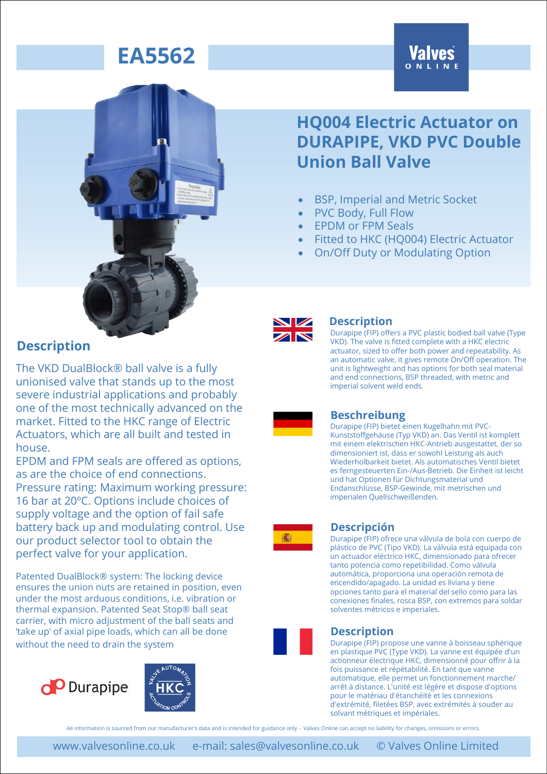# **Valves**



### **HQ004 Electric Actuator on DURAPIPE, VKD PVC Double Union Ball Valve**

- BSP, Imperial and Metric Socket
- PVC Body, Full Flow
- EPDM or FPM Seals
- Fitted to HKC (HQ004) Electric Actuator
- On/Off Duty or Modulating Option



#### **Description**

Durapipe (FIP) offers a PVC plastic bodied ball valve (Type VKD). The valve is fitted complete with a HKC electric actuator, sized to offer both power and repeatability. As an automatic valve, it gives remote On/Off operation. The unit is lightweight and has options for both seal material and end connections, BSP threaded, with metric and imperial solvent weld ends.

#### **Beschreibung**

Durapipe (FIP) bietet einen Kugelhahn mit PVC-Kunststoffgehäuse (Typ VKD) an. Das Ventil ist komplett mit einem elektrischen HKC-Antrieb ausgestattet, der so dimensioniert ist, dass er sowohl Leistung als auch Wiederholbarkeit bietet. Als automatisches Ventil bietet es ferngesteuerten Ein-/Aus-Betrieb. Die Einheit ist leicht und hat Optionen für Dichtungsmaterial und Endanschlüsse, BSP-Gewinde, mit metrischen und imperialen Quellschweißenden.



#### **Descripción**

Durapipe (FIP) ofrece una válvula de bola con cuerpo de plástico de PVC (Tipo VKD). La válvula está equipada con un actuador eléctrico HKC, dimensionado para ofrecer tanto potencia como repetibilidad. Como válvula automática, proporciona una operación remota de encendido/apagado. La unidad es liviana y tiene opciones tanto para el material del sello como para las conexiones finales, rosca BSP, con extremos para soldar solventes métricos e imperiales.



#### **Description**

Durapipe (FIP) propose une vanne à boisseau sphérique en plastique PVC (Type VKD). La vanne est équipée d'un actionneur électrique HKC, dimensionné pour offrir à la fois puissance et répétabilité. En tant que vanne automatique, elle permet un fonctionnement marche/ arrêt à distance. L'unité est légère et dispose d'options pour le matériau d'étanchéité et les connexions d'extrémité, filetées BSP, avec extrémités à souder au solvant métriques et impériales.

All information is sourced from our manufacturer's data and is intended for guidance only - Valves Online can accept no liability for changes, omissions or errors.

The VKD DualBlock® ball valve is a fully unionised valve that stands up to the most severe industrial applications and probably one of the most technically advanced on the market. Fitted to the HKC range of Electric Actuators, which are all built and tested in house.

EPDM and FPM seals are offered as options, as are the choice of end connections. Pressure rating: Maximum working pressure: 16 bar at 20ºC. Options include choices of supply voltage and the option of fail safe battery back up and modulating control. Use our product selector tool to obtain the perfect valve for your application.

Patented DualBlock® system: The locking device ensures the union nuts are retained in position, even under the most arduous conditions, i.e. vibration or thermal expansion. Patented Seat Stop® ball seat carrier, with micro adjustment of the ball seats and 'take up' of axial pipe loads, which can all be done without the need to drain the system



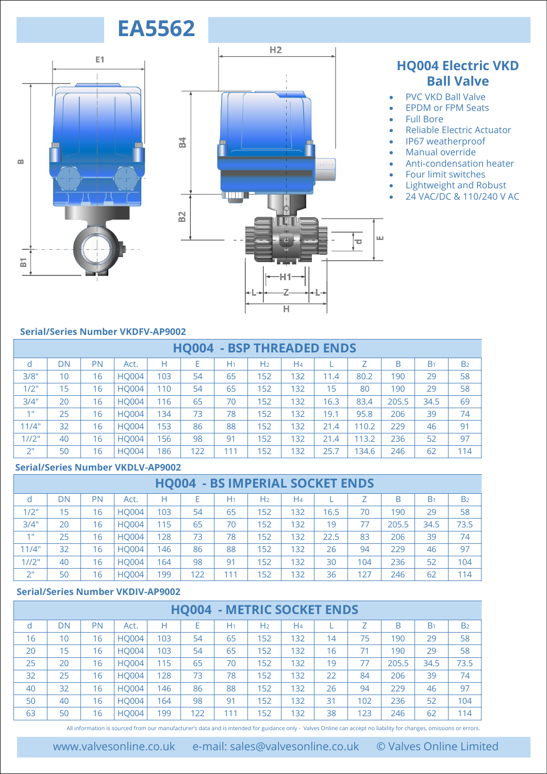



### **HQ004 Electric VKD Ball Valve**

- PVC VKD Ball Valve
- EPDM or FPM Seats
- Full Bore
- Reliable Electric Actuator
- IP67 weatherproof
- Manual override
- Anti-condensation heater
- Four limit switches
- Lightweight and Robust
- 24 VAC/DC & 110/240 V AC

#### **Serial/Series Number VKDFV-AP9002**

|                                          |                                          |           |                                                                                                                                                                     |     |     |                |                | $\overline{\mathsf{H}}$           |      |       |       |                |                |
|------------------------------------------|------------------------------------------|-----------|---------------------------------------------------------------------------------------------------------------------------------------------------------------------|-----|-----|----------------|----------------|-----------------------------------|------|-------|-------|----------------|----------------|
|                                          | <b>Serial/Series Number VKDFV-AP9002</b> |           |                                                                                                                                                                     |     |     |                |                |                                   |      |       |       |                |                |
|                                          |                                          |           |                                                                                                                                                                     |     |     |                |                |                                   |      |       |       |                |                |
|                                          |                                          |           |                                                                                                                                                                     |     |     |                |                | <b>HQ004 - BSP THREADED ENDS</b>  |      |       |       |                |                |
| d                                        | <b>DN</b>                                | PN        | Act.                                                                                                                                                                | H   | E   | H <sub>1</sub> | H <sub>2</sub> | H <sub>4</sub>                    | T    | Z     | B     | B <sub>1</sub> | B <sub>2</sub> |
| 3/8"                                     | 10                                       | 16        | <b>HQ004</b>                                                                                                                                                        | 103 | 54  | 65             | 152            | 132                               | 11.4 | 80.2  | 190   | 29             | 58             |
| 1/2"                                     | 15                                       | 16        | <b>HQ004</b>                                                                                                                                                        | 110 | 54  | 65             | 152            | 132                               | 15   | 80    | 190   | 29             | 58             |
| 3/4"                                     | 20                                       | 16        | <b>HQ004</b>                                                                                                                                                        | 116 | 65  | 70             | 152            | 132                               | 16.3 | 83.4  | 205.5 | 34.5           | 69             |
| 1 <sup>0</sup>                           | 25                                       | 16        | <b>HQ004</b>                                                                                                                                                        | 134 | 73  | 78             | 152            | 132                               | 19.1 | 95.8  | 206   | 39             | 74             |
| 11/4"                                    | 32                                       | 16        | <b>HQ004</b>                                                                                                                                                        | 153 | 86  | 88             | 152            | 132                               | 21.4 | 110.2 | 229   | 46             | 91             |
| 1/12"                                    | 40                                       | 16        | <b>HQ004</b>                                                                                                                                                        | 156 | 98  | 91             | 152            | 132                               | 21.4 | 113.2 | 236   | 52             | 97             |
| 2 <sup>0</sup>                           | 50                                       | 16        | <b>HQ004</b>                                                                                                                                                        | 186 | 122 | 111            | 152            | 132                               | 25.7 | 134.6 | 246   | 62             | 114            |
| <b>Serial/Series Number VKDLV-AP9002</b> |                                          |           |                                                                                                                                                                     |     |     |                |                |                                   |      |       |       |                |                |
| <b>HQ004 - BS IMPERIAL SOCKET ENDS</b>   |                                          |           |                                                                                                                                                                     |     |     |                |                |                                   |      |       |       |                |                |
| d                                        | <b>DN</b>                                | <b>PN</b> | Act.                                                                                                                                                                | H   | E   | H <sub>1</sub> | H <sub>2</sub> | H <sub>4</sub>                    | L    | Ζ     | B     | B <sub>1</sub> | B <sub>2</sub> |
| 1/2"                                     | 15                                       | 16        | <b>HQ004</b>                                                                                                                                                        | 103 | 54  | 65             | 152            | 132                               | 16.5 | 70    | 190   | 29             | 58             |
| 3/4"                                     | 20                                       | 16        | <b>HQ004</b>                                                                                                                                                        | 115 | 65  | 70             | 152            | 132                               | 19   | 77    | 205.5 | 34.5           | 73.5           |
| 1"                                       | 25                                       | 16        | <b>HQ004</b>                                                                                                                                                        | 128 | 73  | 78             | 152            | 132                               | 22.5 | 83    | 206   | 39             | 74             |
| 11/4"                                    | 32                                       | 16        | <b>HQ004</b>                                                                                                                                                        | 146 | 86  | 88             | 152            | 132                               | 26   | 94    | 229   | 46             | 97             |
| 1/12"                                    | 40                                       | 16        | <b>HQ004</b>                                                                                                                                                        | 164 | 98  | 91             | 152            | 132                               | 30   | 104   | 236   | 52             | 104            |
| 2 <sup>0</sup>                           | 50                                       | 16        | <b>HQ004</b>                                                                                                                                                        | 199 | 122 | 111            | 152            | 132                               | 36   | 127   | 246   | 62             | 114            |
|                                          |                                          |           | <b>Serial/Series Number VKDIV-AP9002</b>                                                                                                                            |     |     |                |                |                                   |      |       |       |                |                |
|                                          |                                          |           |                                                                                                                                                                     |     |     |                |                | <b>HQ004 - METRIC SOCKET ENDS</b> |      |       |       |                |                |
| d                                        | <b>DN</b>                                | <b>PN</b> | Act.                                                                                                                                                                | Н   | E   | H <sub>1</sub> | H <sub>2</sub> | H <sub>4</sub>                    | L    | Ζ     | B     | B <sub>1</sub> | B <sub>2</sub> |
| 16                                       | 10                                       | 16        | <b>HQ004</b>                                                                                                                                                        | 103 | 54  | 65             | 152            | 132                               | 14   | 75    | 190   | 29             | 58             |
| 20                                       | 15                                       | 16        | <b>HQ004</b>                                                                                                                                                        | 103 | 54  | 65             | 152            | 132                               | 16   | 71    | 190   | 29             | 58             |
| 25                                       | 20                                       | 16        | <b>HQ004</b>                                                                                                                                                        | 115 | 65  | 70             | 152            | 132                               | 19   | 77    | 205.5 | 34.5           | 73.5           |
| 32                                       | 25                                       | 16        | <b>HQ004</b>                                                                                                                                                        | 128 | 73  | 78             | 152            | 132                               | 22   | 84    | 206   | 39             | 74             |
| 40                                       | 32                                       | 16        | <b>HQ004</b>                                                                                                                                                        | 146 | 86  | 88             | 152            | 132                               | 26   | 94    | 229   | 46             | 97             |
| 50                                       | 40                                       | 16        | <b>HQ004</b>                                                                                                                                                        | 164 | 98  | 91             | 152            | 132                               | 31   | 102   | 236   | 52             | 104            |
| 63                                       | 50                                       | 16        | <b>HQ004</b>                                                                                                                                                        | 199 | 122 | 111            | 152            | 132                               | 38   | 123   | 246   | 62             | 114            |
|                                          |                                          |           | All information is sourced from our manufacturer's data and is intended for guidance only - Valves Online can accept no liability for changes, omissions or errors. |     |     |                |                |                                   |      |       |       |                |                |

#### **Serial/Series Number VKDLV-AP9002**

| 1772° | 40                                       | l 6 | HUUU4        | 56           | 98  | 91                        | 15Z            | 32  | 21.4 | 13.2 | 236.  | 52             | 97             |
|-------|------------------------------------------|-----|--------------|--------------|-----|---------------------------|----------------|-----|------|------|-------|----------------|----------------|
| 2"    | 50                                       | 16  | <b>HQ004</b> | 186          | 122 | 111                       | 152            | 132 | 25.7 | 34.6 | 246   | 62             | 114            |
|       | <b>Serial/Series Number VKDLV-AP9002</b> |     |              |              |     |                           |                |     |      |      |       |                |                |
|       |                                          |     |              | <b>HO004</b> |     | - BS IMPERIAL SOCKET ENDS |                |     |      |      |       |                |                |
| d     | DN                                       | PN  | Act.         | Н            | E   | H <sub>1</sub>            | H <sub>2</sub> | H4  |      | Z    | B     | B <sub>1</sub> | B <sub>2</sub> |
| 1/2"  | 15                                       | 16  | <b>HQ004</b> | 103          | 54  | 65                        | 152            | 132 | 16.5 | 70   | 190   | 29             | 58             |
| 3/4"  | 20                                       | 16  | <b>HQ004</b> | 115          | 65  | 70                        | 152            | 132 | 19   | 77   | 205.5 | 34.5           | 73.5           |
| 4H    | 25                                       | 16  | <b>HO004</b> | 128          | 73  | 78                        | 152            | 132 | 22.5 | 83   | 206   | 39             | 74             |
| 11/4" | 32                                       | 16  | <b>HO004</b> | 146          | 86  | 88                        | 152            | 132 | 26   | 94   | 229   | 46             | 97             |
| 1/12" | 40                                       | 16  | <b>HO004</b> | 164          | 98  | 91                        | 152            | 132 | 30   | 104  | 236   | 52             | 104            |
| 2"    | 50                                       | 16  | <b>HO004</b> | 199          | 122 | 111                       | 152            | 132 | 36   | 127  | 246   | 62             | 114            |

#### **Serial/Series Number VKDIV-AP9002**

| . <i>.</i> . | ┄                                        | $\sim$    | 11200T       | $\sim$ | ے ب                               | - 1            | .              | .   | ◡  | $\sim$ | --    | --             | $\sim$         |
|--------------|------------------------------------------|-----------|--------------|--------|-----------------------------------|----------------|----------------|-----|----|--------|-------|----------------|----------------|
| 2"           | 50                                       | 16        | <b>HO004</b> | 199    | 122                               | 111            | 152            | 132 | 36 | 127    | 246   | 62             | 114            |
|              | <b>Serial/Series Number VKDIV-AP9002</b> |           |              |        |                                   |                |                |     |    |        |       |                |                |
|              |                                          |           |              |        | <b>HQ004 - METRIC SOCKET ENDS</b> |                |                |     |    |        |       |                |                |
| d            | DN                                       | <b>PN</b> | Act.         | н      | E                                 | H <sub>1</sub> | H <sub>2</sub> | H4  |    |        | B     | B <sub>1</sub> | B <sub>2</sub> |
| 16           | 10                                       | 16        | <b>HO004</b> | 103    | 54                                | 65             | 152            | 132 | 14 | 75     | 190   | 29             | 58             |
| 20           | 15                                       | 16        | <b>HO004</b> | 103    | 54                                | 65             | 152            | 132 | 16 | 71     | 190   | 29             | 58             |
| 25           | 20                                       | 16        | <b>HO004</b> | 115    | 65                                | 70             | 152            | 132 | 19 | 77     | 205.5 | 34.5           | 73.5           |
| 32           | 25                                       | 16        | <b>HO004</b> | 128    | 73                                | 78             | 152            | 132 | 22 | 84     | 206   | 39             | 74             |
| 40           | 32                                       | 16        | <b>HO004</b> | 146    | 86                                | 88             | 152            | 132 | 26 | 94     | 229   | 46             | 97             |
| 50           | 40                                       | 16        | <b>HO004</b> | 164    | 98                                | 91             | 152            | 132 | 31 | 102    | 236   | 52             | 104            |
| 63           | 50                                       | 16        | <b>HO004</b> | 199    | 122                               | 111            | 152            | 132 | 38 | 123    | 246   | 62             | 114            |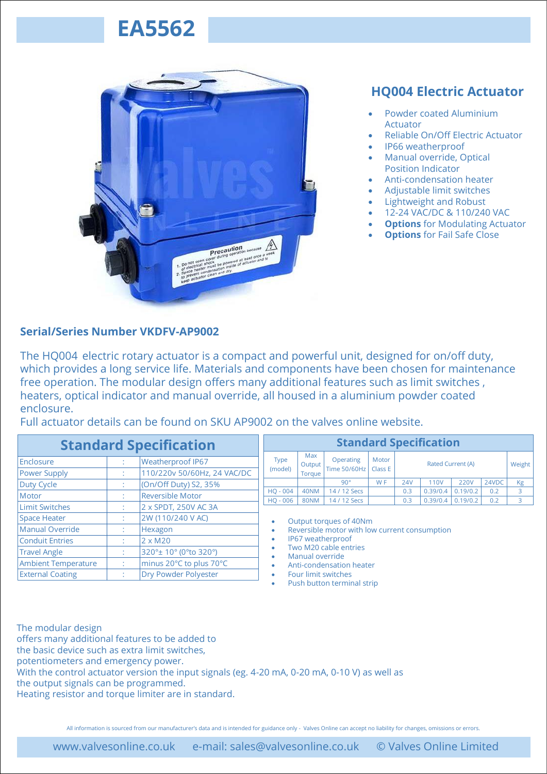

### **HQ004 Electric Actuator**

- Powder coated Aluminium Actuator
- Reliable On/Off Electric Actuator
- IP66 weatherproof
- Manual override, Optical Position Indicator
- Anti-condensation heater
- Adjustable limit switches
- Lightweight and Robust
- 12-24 VAC/DC & 110/240 VAC
- **Options** for Modulating Actuator
- **Options** for Fail Safe Close

#### **Serial/Series Number VKDFV-AP9002**

The HQ004 electric rotary actuator is a compact and powerful unit, designed for on/off duty, which provides a long service life. Materials and components have been chosen for maintenance free operation. The modular design offers many additional features such as limit switches , heaters, optical indicator and manual override, all housed in a aluminium powder coated enclosure.

Full actuator details can be found on SKU AP9002 on the valves online website.

|                                                                                            | <b>Standard Specification</b> |                          |                                          |                          |                         |                                               | <b>Standard Specification</b> |            |                   |             |       |        |  |  |  |  |  |
|--------------------------------------------------------------------------------------------|-------------------------------|--------------------------|------------------------------------------|--------------------------|-------------------------|-----------------------------------------------|-------------------------------|------------|-------------------|-------------|-------|--------|--|--|--|--|--|
| Enclosure<br><b>Weatherproof IP67</b><br>110/220v 50/60Hz, 24 VAC/DC<br>Power Supply<br>×. |                               |                          |                                          | Type<br>(model)          | Max<br>Output<br>Torque | Operating<br>Time 50/60Hz                     | Motor<br>Class E              |            | Rated Current (A) |             |       | Weight |  |  |  |  |  |
| Duty Cycle                                                                                 | $\sim$                        | (On/Off Duty) S2, 35%    |                                          |                          |                         | $90^\circ$                                    | W <sub>F</sub>                | <b>24V</b> | 110V              | <b>220V</b> | 24VDC | Kg     |  |  |  |  |  |
| Motor                                                                                      | $\sim$                        | <b>Reversible Motor</b>  |                                          | $HO - 004$               | 40NM                    | 14 / 12 Secs                                  |                               | 0.3        | 0.39/0.4          | 0.19/0.2    | 0.2   | 3      |  |  |  |  |  |
| <b>Limit Switches</b>                                                                      |                               | 2 x SPDT, 250V AC 3A     |                                          | HQ - 006                 | <b>80NM</b>             | 14 / 12 Secs                                  |                               | 0.3        | 0.39/0.4          | 0.19/0.2    | 0.2   | 3      |  |  |  |  |  |
| <b>Space Heater</b>                                                                        | $\sim$                        | 2W (110/240 V AC)        |                                          | ۰                        |                         | Output torques of 40Nm                        |                               |            |                   |             |       |        |  |  |  |  |  |
| <b>Manual Override</b>                                                                     | A.                            | Hexagon                  |                                          |                          |                         | Reversible motor with low current consumption |                               |            |                   |             |       |        |  |  |  |  |  |
| <b>Conduit Entries</b>                                                                     | A.                            | $2 \times M20$           |                                          |                          |                         | IP67 weatherproof                             |                               |            |                   |             |       |        |  |  |  |  |  |
| <b>Travel Angle</b>                                                                        | $\sim$                        | 320°± 10° (0°to 320°)    | Two M20 cable entries<br>Manual override |                          |                         |                                               |                               |            |                   |             |       |        |  |  |  |  |  |
| <b>Ambient Temperature</b><br>minus 20°C to plus 70°C<br>$\mathcal{L}^{\mathcal{L}}$       |                               |                          |                                          | Anti-condensation heater |                         |                                               |                               |            |                   |             |       |        |  |  |  |  |  |
| <b>External Coating</b>                                                                    |                               | Four limit switches<br>. |                                          |                          |                         |                                               |                               |            |                   |             |       |        |  |  |  |  |  |

• Push button terminal strip

The modular design offers many additional features to be added to the basic device such as extra limit switches, potentiometers and emergency power. With the control actuator version the input signals (eg. 4-20 mA, 0-20 mA, 0-10 V) as well as the output signals can be programmed. Heating resistor and torque limiter are in standard.

All information is sourced from our manufacturer's data and is intended for guidance only - Valves Online can accept no liability for changes, omissions or errors.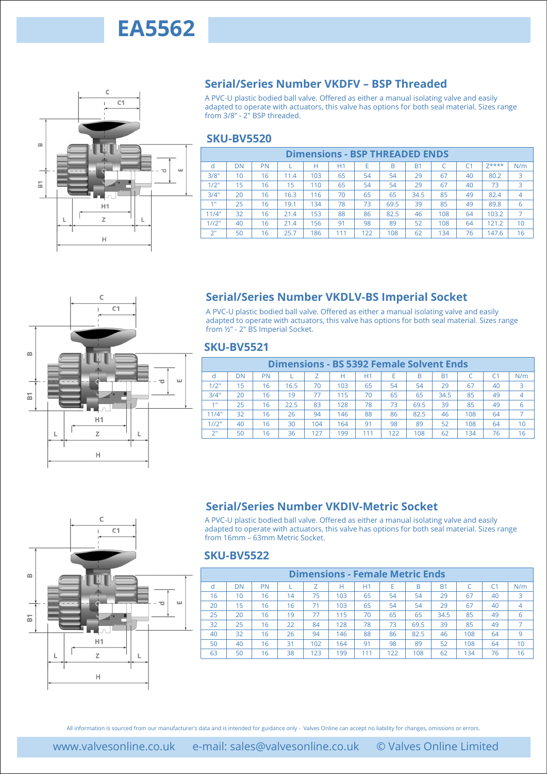

#### **Serial/Series Number VKDFV – BSP Threaded**

A PVC-U plastic bodied ball valve. Offered as either a manual isolating valve and easily adapted to operate with actuators, this valve has options for both seal material. Sizes range from 3/8" - 2" BSP threaded.

#### **SKU-BV5520**

| <b>Dimensions - BSP THREADED ENDS</b> |    |    |      |     |     |     |      |                |     |                |       |     |
|---------------------------------------|----|----|------|-----|-----|-----|------|----------------|-----|----------------|-------|-----|
| d                                     | DN | PN |      |     | H1  | E   | B    | B <sub>1</sub> |     | C <sub>1</sub> | 7**** | N/m |
| 3/8"                                  | 10 | 16 | 11.4 | 103 | 65  | 54  | 54   | 29             | 67  | 40             | 80.2  | 3   |
| 1/2"                                  | 15 | 16 | 15   | 110 | 65  | 54  | 54   | 29             | 67  | 40             | 73    | 3   |
| 3/4"                                  | 20 | 16 | 16.3 | 116 | 70  | 65  | 65   | 34.5           | 85  | 49             | 82.4  | 4   |
| 4.0                                   | 25 | 16 | 19.1 | 134 | 78  | 73  | 69.5 | 39             | 85  | 49             | 89.8  | 6   |
| 11/4"                                 | 32 | 16 | 21.4 | 153 | 88  | 86  | 82.5 | 46             | 108 | 64             | 103.2 |     |
| 1/12"                                 | 40 | 16 | 21.4 | 156 | 91  | 98  | 89   | 52             | 108 | 64             | 121.2 | 10  |
| 2"                                    | 50 | 16 | 25.7 | 186 | 111 | 122 | 108  | 62             | 134 | 76             | 147.6 | 16  |



### **Serial/Series Number VKDLV-BS Imperial Socket**

#### **SKU-BV5521**

|                    | <b>Dimensions - BS 5392 Female Solvent Ends</b> |    |      |     |     |     |     |      |      |     |    |                |  |
|--------------------|-------------------------------------------------|----|------|-----|-----|-----|-----|------|------|-----|----|----------------|--|
|                    | DΝ                                              | PN |      |     | н   | H1  |     | B    | B1   |     |    | N/m            |  |
| 1/2"               | 15                                              | 16 | 16.5 | 70  | 103 | 65  | 54  | 54   | 29   | 67  | 40 | 3              |  |
| 3/4"               | 20                                              | 16 | 19   | 77  | 115 | 70  | 65  | 65   | 34.5 | 85  | 49 | $\overline{4}$ |  |
| 4.0                | 25                                              | 16 | 22.5 | 83  | 128 | 78  | 73  | 69.5 | 39   | 85  | 49 | 6              |  |
| 11/4"              | 32                                              | 16 | 26   | 94  | 146 | 88  | 86  | 82.5 | 46   | 108 | 64 |                |  |
| 1/12"              | 40                                              | 16 | 30   | 104 | 164 | 91  | 98  | 89   | 52   | 108 | 64 | 10             |  |
| $2^{\prime\prime}$ | 50                                              | 16 | 36   | 127 | 199 | 111 | 122 | 108  | 62   | 134 | 76 | 16             |  |



#### **Serial/Series Number VKDIV-Metric Socket**

#### **SKU-BV5522**

|                              | d               | DN                | <b>PN</b> | L                                                                                                                                                                                                                                                                                       | H               | H1  | Е                                      | B    | <b>B1</b> | C         | C <sub>1</sub> | Z****          | N/m             |
|------------------------------|-----------------|-------------------|-----------|-----------------------------------------------------------------------------------------------------------------------------------------------------------------------------------------------------------------------------------------------------------------------------------------|-----------------|-----|----------------------------------------|------|-----------|-----------|----------------|----------------|-----------------|
| ш<br>$\overline{\mathbf{C}}$ | 3/8"            | 10                | 16        | 11.4                                                                                                                                                                                                                                                                                    | 103             | 65  | 54                                     | 54   | 29        | 67        | 40             | 80.2           | 3               |
|                              | 1/2"            | 15                | 16        | 15                                                                                                                                                                                                                                                                                      | 110             | 65  | 54                                     | 54   | 29        | 67        | 40             | 73             | 3               |
|                              | 3/4"            | 20                | 16        | 16.3                                                                                                                                                                                                                                                                                    | 116             | 70  | 65                                     | 65   | 34.5      | 85        | 49             | 82.4           | $\overline{4}$  |
| H1                           | 1 <sup>n</sup>  | 25                | 16        | 19.1                                                                                                                                                                                                                                                                                    | 134             | 78  | 73                                     | 69.5 | 39        | 85        | 49             | 89.8           | 6               |
|                              | 11/4"           | 32                | 16        | 21.4                                                                                                                                                                                                                                                                                    | 153             | 88  | 86                                     | 82.5 | 46        | 108       | 64             | 103.2          | $\overline{7}$  |
| L                            | 1/12"           | 40                | 16        | 21.4                                                                                                                                                                                                                                                                                    | 156             | 91  | 98                                     | 89   | 52        | 108       | 64             | 121.2          | 10              |
|                              | 2 <sup>n</sup>  | 50                | 16        | 25.7                                                                                                                                                                                                                                                                                    | 186             | 111 | 122                                    | 108  | 62        | 134       | 76             | 147.6          | 16              |
| C<br>C1                      |                 |                   |           | <b>Serial/Series Number VKDLV-BS Imperial Socket</b><br>A PVC-U plastic bodied ball valve. Offered as either a manual isolating valve and easily<br>adapted to operate with actuators, this valve has options for both seal material. Sizes range<br>from 1/2" - 2" BS Imperial Socket. |                 |     |                                        |      |           |           |                |                |                 |
|                              |                 | <b>SKU-BV5521</b> |           |                                                                                                                                                                                                                                                                                         |                 |     |                                        |      |           |           |                |                |                 |
|                              |                 |                   |           | <b>Dimensions - BS 5392 Female Solvent Ends</b>                                                                                                                                                                                                                                         |                 |     |                                        |      |           |           |                |                |                 |
| ш                            | d               | <b>DN</b>         | PN        |                                                                                                                                                                                                                                                                                         | Ζ               | н   | H1                                     | E    | B         | <b>B1</b> | C              | C <sub>1</sub> | N/m             |
|                              | 1/2"            | 15                | 16        | 16.5                                                                                                                                                                                                                                                                                    | 70              | 103 | 65                                     | 54   | 54        | 29        | 67             | 40             | 3               |
|                              | 3/4"            | 20                | 16        | 19                                                                                                                                                                                                                                                                                      | $\overline{77}$ | 115 | 70                                     | 65   | 65        | 34.5      | 85             | 49             | $\overline{4}$  |
|                              | 1 <sup>0</sup>  | 25                | 16        | 22.5                                                                                                                                                                                                                                                                                    | 83              | 128 | 78                                     | 73   | 69.5      | 39        | 85             | 49             | 6               |
|                              | 11/4"           | 32                | 16        | 26                                                                                                                                                                                                                                                                                      | 94              | 146 | 88                                     | 86   | 82.5      | 46        | 108            | 64             | $\overline{7}$  |
|                              | $\frac{1}{1/2}$ | 40                | 16        | 30                                                                                                                                                                                                                                                                                      | 104             | 164 | 91                                     | 98   | 89        | 52        | 108            | 64             | 10              |
| L                            | 2 <sup>n</sup>  | 50                | 16        | 36                                                                                                                                                                                                                                                                                      | 127             | 199 | 111                                    | 122  | 108       | 62        | 134            | 76             | 16              |
| C1                           |                 | <b>SKU-BV5522</b> |           | <b>Serial/Series Number VKDIV-Metric Socket</b><br>A PVC-U plastic bodied ball valve. Offered as either a manual isolating valve and easily<br>adapted to operate with actuators, this valve has options for both seal material. Sizes range<br>from 16mm - 63mm Metric Socket.         |                 |     |                                        |      |           |           |                |                |                 |
|                              |                 |                   |           |                                                                                                                                                                                                                                                                                         |                 |     | <b>Dimensions - Female Metric Ends</b> |      |           |           |                |                |                 |
|                              |                 | DN                | PN        | L                                                                                                                                                                                                                                                                                       | Ζ<br>75         | н   | H1                                     | Е    | Β         | <b>B1</b> | C              | C <sub>1</sub> | N/m             |
|                              | d               |                   |           |                                                                                                                                                                                                                                                                                         |                 | 103 | 65                                     | 54   | 54        | 29        | 67             | 40             | 3               |
| ш                            | 16              | 10                | 16        | 14                                                                                                                                                                                                                                                                                      |                 |     |                                        |      |           |           |                |                |                 |
|                              | 20              | 15                | 16        | 16                                                                                                                                                                                                                                                                                      | 71              | 103 | 65                                     | 54   | 54        | 29        | 67             | 40             | $\overline{4}$  |
|                              | 25              | 20                | 16        | 19                                                                                                                                                                                                                                                                                      | 77              | 115 | 70                                     | 65   | 65        | 34.5      | 85             | 49             | $6\phantom{1}6$ |
|                              | 32              | 25                | 16        | 22                                                                                                                                                                                                                                                                                      | 84              | 128 | 78                                     | 73   | 69.5      | 39        | 85             | 49             | $\overline{7}$  |
|                              | 40              | 32                | 16        | 26                                                                                                                                                                                                                                                                                      | 94              | 146 | 88                                     | 86   | 82.5      | 46        | 108            | 64             | 9               |
|                              | 50              | 40                | 16        | 31                                                                                                                                                                                                                                                                                      | 102             | 164 | 91                                     | 98   | 89        | 52        | 108            | 64             | 10              |
| L                            | 63              | 50                | 16        | 38                                                                                                                                                                                                                                                                                      | 123             | 199 | 111                                    | 122  | 108       | 62        | 134            | 76             | 16              |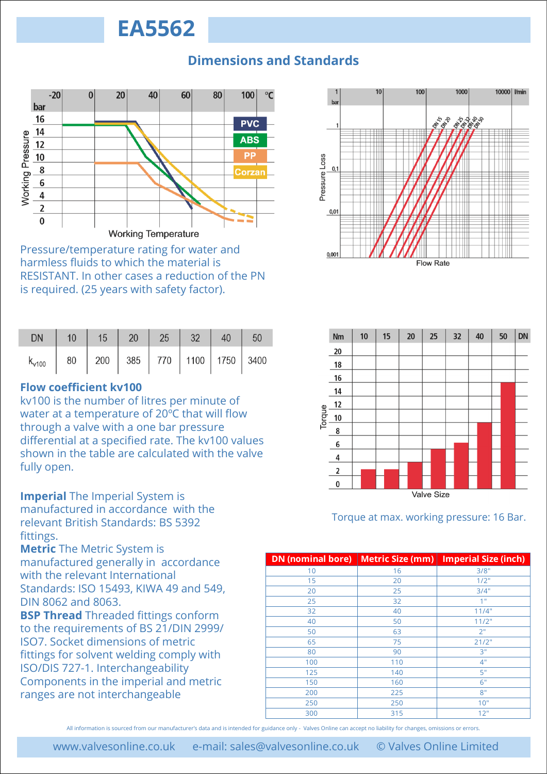### **Dimensions and Standards**



Pressure/temperature rating for water and harmless fluids to which the material is RESISTANT. In other cases a reduction of the PN is required. (25 years with safety factor).

| <b>DN</b>                                              |  |  |  |  |
|--------------------------------------------------------|--|--|--|--|
| $k_{v100}$   80   200   385   770   1100   1750   3400 |  |  |  |  |

#### **Flow coefficient kv100**

kv100 is the number of litres per minute of water at a temperature of 20ºC that will flow through a valve with a one bar pressure differential at a specified rate. The kv100 values shown in the table are calculated with the valve fully open.

**Imperial** The Imperial System is manufactured in accordance with the relevant British Standards: BS 5392 fittings.

**Metric** The Metric System is manufactured generally in accordance with the relevant International Standards: ISO 15493, KIWA 49 and 549, DIN 8062 and 8063.

**BSP Thread** Threaded fittings conform to the requirements of BS 21/DIN 2999/ ISO7. Socket dimensions of metric fittings for solvent welding comply with ISO/DIS 727-1. Interchangeability Components in the imperial and metric ranges are not interchangeable





Torque at max. working pressure: 16 Bar.

| <b>DN</b> (nominal bore) | <b>Metric Size (mm)</b> | <b>Imperial Size (inch)</b> |
|--------------------------|-------------------------|-----------------------------|
| 10                       | 16                      | 3/8"                        |
| 15                       | 20                      | 1/2"                        |
| 20                       | 25                      | 3/4"                        |
| 25                       | 32                      | 1"                          |
| 32                       | 40                      | 11/4"                       |
| 40                       | 50                      | 11/2"                       |
| 50                       | 63                      | 2"                          |
| 65                       | 75                      | 21/2"                       |
| 80                       | 90                      | 3"                          |
| 100                      | 110                     | 4"                          |
| 125                      | 140                     | 5"                          |
| 150                      | 160                     | 6"                          |
| 200                      | 225                     | 8"                          |
| 250                      | 250                     | 10"                         |
| 300                      | 315                     | 12"                         |

All information is sourced from our manufacturer's data and is intended for guidance only - Valves Online can accept no liability for changes, omissions or errors.